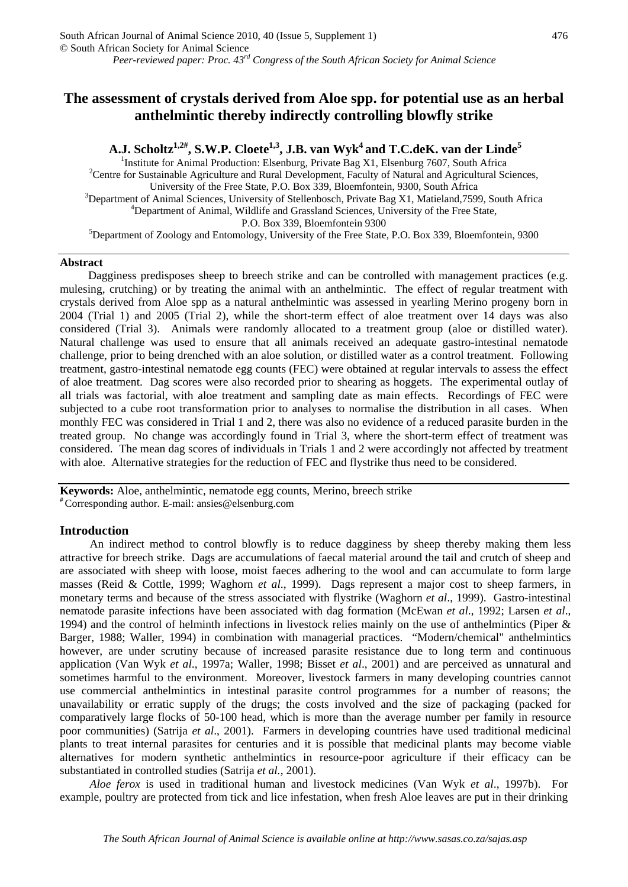# A.J. Scholtz<sup>1,2#</sup>, S.W.P. Cloete<sup>1,3</sup>, J.B. van Wyk<sup>4</sup> and T.C.deK. van der Linde<sup>5</sup>

<sup>1</sup>Institute for Animal Production: Elsenburg, Private Bag X1, Elsenburg 7607, South Africa<br><sup>2</sup>Centre for Sustainable Acriculture and Burel Davelopment, Eaculture facturel and Acriculturel Se <sup>2</sup> Centre for Sustainable Agriculture and Rural Development, Faculty of Natural and Agricultural Sciences, University of the Free State, P.O. Box 339, Bloemfontein, 9300, South Africa 3  $3$ Department of Animal Sciences, University of Stellenbosch, Private Bag X1, Matieland,7599, South Africa <sup>4</sup>Department of Animal, Wildlife and Grassland Sciences, University of the Free State, P.O. Box 339, Bloemfontein 9300<br>
<sup>5</sup>Department of Zoology and Entomology, University of the Free State, P.O. Box 339, Bloemfontein, 9300

### **Abstract**

Dagginess predisposes sheep to breech strike and can be controlled with management practices (e.g. mulesing, crutching) or by treating the animal with an anthelmintic. The effect of regular treatment with crystals derived from Aloe spp as a natural anthelmintic was assessed in yearling Merino progeny born in 2004 (Trial 1) and 2005 (Trial 2), while the short-term effect of aloe treatment over 14 days was also considered (Trial 3). Animals were randomly allocated to a treatment group (aloe or distilled water). Natural challenge was used to ensure that all animals received an adequate gastro-intestinal nematode challenge, prior to being drenched with an aloe solution, or distilled water as a control treatment. Following treatment, gastro-intestinal nematode egg counts (FEC) were obtained at regular intervals to assess the effect of aloe treatment. Dag scores were also recorded prior to shearing as hoggets. The experimental outlay of all trials was factorial, with aloe treatment and sampling date as main effects. Recordings of FEC were subjected to a cube root transformation prior to analyses to normalise the distribution in all cases. When monthly FEC was considered in Trial 1 and 2, there was also no evidence of a reduced parasite burden in the treated group. No change was accordingly found in Trial 3, where the short-term effect of treatment was considered. The mean dag scores of individuals in Trials 1 and 2 were accordingly not affected by treatment with aloe. Alternative strategies for the reduction of FEC and flystrike thus need to be considered.

**Keywords:** Aloe, anthelmint[ic, nematode egg coun](mailto:ansies@elsenburg.com)ts, Merino, breech strike # Corresponding author. E-mail: [ansies@elsenburg.com](mailto:ansies@elsenburg.com)

## **Introduction**

An indirect method to control blowfly is to reduce dagginess by sheep thereby making them less attractive for breech strike. Dags are accumulations of faecal material around the tail and crutch of sheep and are associated with sheep with loose, moist faeces adhering to the wool and can accumulate to form large masses (Reid & Cottle, 1999; Waghorn *et al*., 1999). Dags represent a major cost to sheep farmers, in monetary terms and because of the stress associated with flystrike (Waghorn *et al*., 1999). Gastro-intestinal nematode parasite infections have been associated with dag formation (McEwan *et al*., 1992; Larsen *et al*., 1994) and the control of helminth infections in livestock relies mainly on the use of anthelmintics (Piper & Barger, 1988; Waller, 1994) in combination with managerial practices. "Modern/chemical" anthelmintics however, are under scrutiny because of increased parasite resistance due to long term and continuous application (Van Wyk *et al*., 1997a; Waller, 1998; Bisset *et al*., 2001) and are perceived as unnatural and sometimes harmful to the environment. Moreover, livestock farmers in many developing countries cannot use commercial anthelmintics in intestinal parasite control programmes for a number of reasons; the unavailability or erratic supply of the drugs; the costs involved and the size of packaging (packed for comparatively large flocks of 50-100 head, which is more than the average number per family in resource poor communities) (Satrija *et al*., 2001). Farmers in developing countries have used traditional medicinal plants to treat internal parasites for centuries and it is possible that medicinal plants may become viable alternatives for modern synthetic anthelmintics in resource-poor agriculture if their efficacy can be substantiated in controlled studies (Satrija *et al.*, 2001).

*Aloe ferox* is used in traditional human and livestock medicines (Van Wyk *et al*., 1997b). For example, poultry are protected from tick and lice infestation, when fresh Aloe leaves are put in their drinking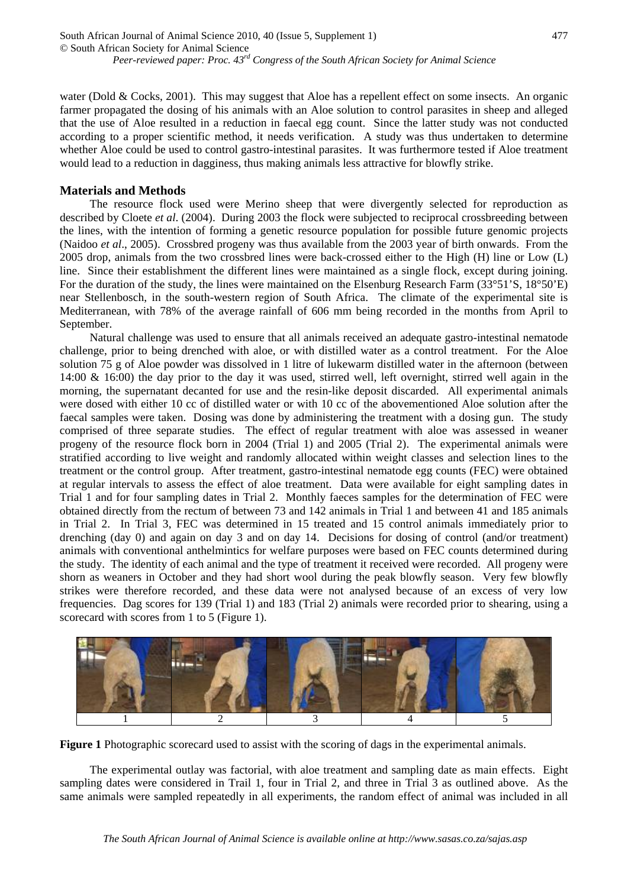water (Dold & Cocks, 2001). This may suggest that Aloe has a repellent effect on some insects. An organic farmer propagated the dosing of his animals with an Aloe solution to control parasites in sheep and alleged that the use of Aloe resulted in a reduction in faecal egg count. Since the latter study was not conducted according to a proper scientific method, it needs verification. A study was thus undertaken to determine whether Aloe could be used to control gastro-intestinal parasites. It was furthermore tested if Aloe treatment would lead to a reduction in dagginess, thus making animals less attractive for blowfly strike.

## **Materials and Methods**

The resource flock used were Merino sheep that were divergently selected for reproduction as described by Cloete *et al*. (2004). During 2003 the flock were subjected to reciprocal crossbreeding between the lines, with the intention of forming a genetic resource population for possible future genomic projects (Naidoo *et al*., 2005). Crossbred progeny was thus available from the 2003 year of birth onwards. From the 2005 drop, animals from the two crossbred lines were back-crossed either to the High (H) line or Low (L) line. Since their establishment the different lines were maintained as a single flock, except during joining. For the duration of the study, the lines were maintained on the Elsenburg Research Farm (33°51'S, 18°50'E) near Stellenbosch, in the south-western region of South Africa. The climate of the experimental site is Mediterranean, with 78% of the average rainfall of 606 mm being recorded in the months from April to September.

Natural challenge was used to ensure that all animals received an adequate gastro-intestinal nematode challenge, prior to being drenched with aloe, or with distilled water as a control treatment. For the Aloe solution 75 g of Aloe powder was dissolved in 1 litre of lukewarm distilled water in the afternoon (between 14:00 & 16:00) the day prior to the day it was used, stirred well, left overnight, stirred well again in the morning, the supernatant decanted for use and the resin-like deposit discarded. All experimental animals were dosed with either 10 cc of distilled water or with 10 cc of the abovementioned Aloe solution after the faecal samples were taken. Dosing was done by administering the treatment with a dosing gun. The study comprised of three separate studies. The effect of regular treatment with aloe was assessed in weaner progeny of the resource flock born in 2004 (Trial 1) and 2005 (Trial 2). The experimental animals were stratified according to live weight and randomly allocated within weight classes and selection lines to the treatment or the control group. After treatment, gastro-intestinal nematode egg counts (FEC) were obtained at regular intervals to assess the effect of aloe treatment. Data were available for eight sampling dates in Trial 1 and for four sampling dates in Trial 2. Monthly faeces samples for the determination of FEC were obtained directly from the rectum of between 73 and 142 animals in Trial 1 and between 41 and 185 animals in Trial 2. In Trial 3, FEC was determined in 15 treated and 15 control animals immediately prior to drenching (day 0) and again on day 3 and on day 14. Decisions for dosing of control (and/or treatment) animals with conventional anthelmintics for welfare purposes were based on FEC counts determined during the study. The identity of each animal and the type of treatment it received were recorded. All progeny were shorn as weaners in October and they had short wool during the peak blowfly season. Very few blowfly strikes were therefore recorded, and these data were not analysed because of an excess of very low frequencies. Dag scores for 139 (Trial 1) and 183 (Trial 2) animals were recorded prior to shearing, using a scorecard with scores from 1 to 5 (Figure 1).



**Figure 1** Photographic scorecard used to assist with the scoring of dags in the experimental animals.

The experimental outlay was factorial, with aloe treatment and sampling date as main effects. Eight sampling dates were considered in Trail 1, four in Trial 2, and three in Trial 3 as outlined above. As the same animals were sampled repeatedly in all experiments, the random effect of animal was included in all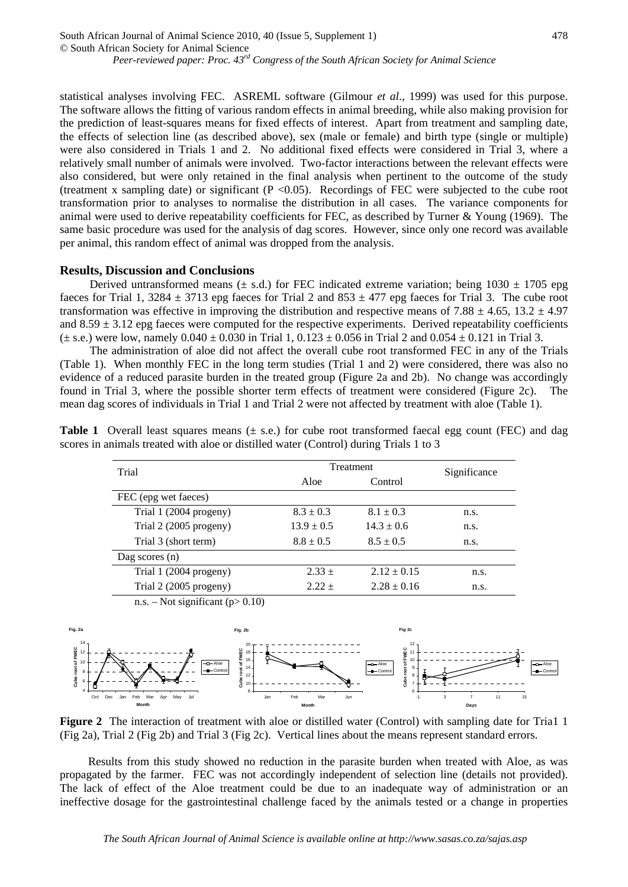statistical analyses involving FEC. ASREML software (Gilmour *et al*., 1999) was used for this purpose. The software allows the fitting of various random effects in animal breeding, while also making provision for the prediction of least-squares means for fixed effects of interest. Apart from treatment and sampling date, the effects of selection line (as described above), sex (male or female) and birth type (single or multiple) were also considered in Trials 1 and 2. No additional fixed effects were considered in Trial 3, where a relatively small number of animals were involved. Two-factor interactions between the relevant effects were also considered, but were only retained in the final analysis when pertinent to the outcome of the study (treatment x sampling date) or significant ( $P < 0.05$ ). Recordings of FEC were subjected to the cube root transformation prior to analyses to normalise the distribution in all cases. The variance components for animal were used to derive repeatability coefficients for FEC, as described by Turner & Young (1969). The same basic procedure was used for the analysis of dag scores. However, since only one record was available per animal, this random effect of animal was dropped from the analysis.

*Peer-reviewed paper: Proc. 43rd Congress of the South African Society for Animal Science*

### **Results, Discussion and Conclusions**

© South African Society for Animal Science

South African Journal of Animal Science 2010, 40 (Issue 5, Supplement 1)

Derived untransformed means ( $\pm$  s.d.) for FEC indicated extreme variation; being 1030  $\pm$  1705 epg faeces for Trial 1, 3284  $\pm$  3713 epg faeces for Trial 2 and 853  $\pm$  477 epg faeces for Trial 3. The cube root transformation was effective in improving the distribution and respective means of 7.88  $\pm$  4.65, 13.2  $\pm$  4.97 and  $8.59 \pm 3.12$  epg faeces were computed for the respective experiments. Derived repeatability coefficients  $(\pm s.e.)$  were low, namely  $0.040 \pm 0.030$  in Trial 1,  $0.123 \pm 0.056$  in Trial 2 and  $0.054 \pm 0.121$  in Trial 3.

The administration of aloe did not affect the overall cube root transformed FEC in any of the Trials (Table 1). When monthly FEC in the long term studies (Trial 1 and 2) were considered, there was also no evidence of a reduced parasite burden in the treated group (Figure 2a and 2b). No change was accordingly found in Trial 3, where the possible shorter term effects of treatment were considered (Figure 2c). The mean dag scores of individuals in Trial 1 and Trial 2 were not affected by treatment with aloe (Table 1).

| Trial                  | Treatment      |                 | Significance |
|------------------------|----------------|-----------------|--------------|
|                        | Aloe           | Control         |              |
| FEC (epg wet faeces)   |                |                 |              |
| Trial 1 (2004 progeny) | $8.3 \pm 0.3$  | $8.1 \pm 0.3$   | n.s.         |
| Trial 2 (2005 progeny) | $13.9 \pm 0.5$ | $14.3 \pm 0.6$  | n.s.         |
| Trial 3 (short term)   | $8.8 \pm 0.5$  | $8.5 \pm 0.5$   | n.s.         |
| Dag scores $(n)$       |                |                 |              |
| Trial 1 (2004 progeny) | $2.33 +$       | $2.12 \pm 0.15$ | n.s.         |
| Trial 2 (2005 progeny) | $2.22 +$       | $2.28 \pm 0.16$ | n.s.         |

**Table 1** Overall least squares means  $(\pm s.e.)$  for cube root transformed faecal egg count (FEC) and dag scores in animals treated with aloe or distilled water (Control) during Trials 1 to 3

n.s. – Not significant ( $p > 0.10$ )



**Figure 2** The interaction of treatment with aloe or distilled water (Control) with sampling date for Tria1 1 (Fig 2a), Trial 2 (Fig 2b) and Trial 3 (Fig 2c). Vertical lines about the means represent standard errors.

Results from this study showed no reduction in the parasite burden when treated with Aloe, as was propagated by the farmer. FEC was not accordingly independent of selection line (details not provided). The lack of effect of the Aloe treatment could be due to an inadequate way of administration or an ineffective dosage for the gastrointestinal challenge faced by the animals tested or a change in properties